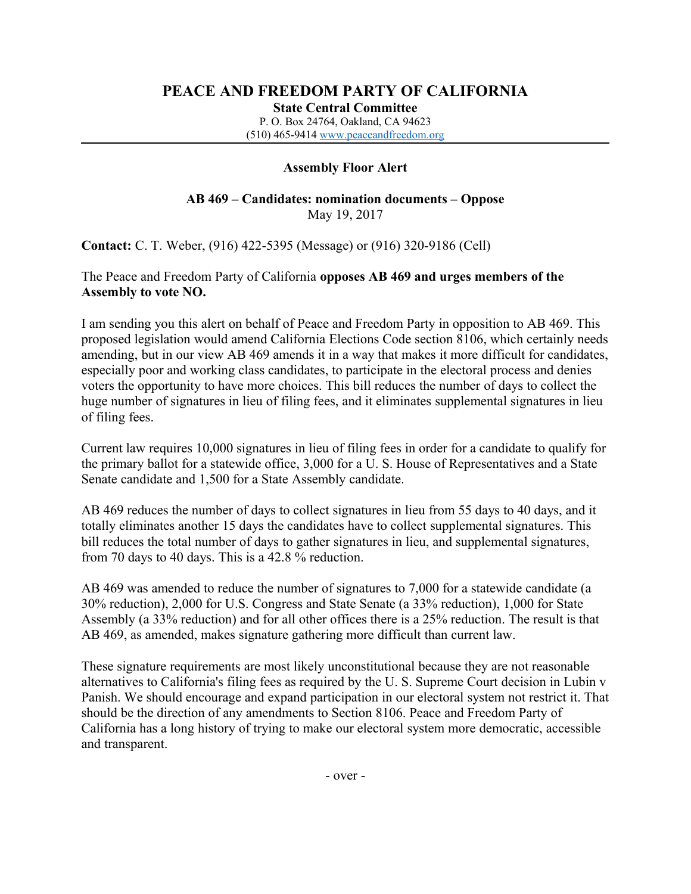# **PEACE AND FREEDOM PARTY OF CALIFORNIA**

**State Central Committee**

P. O. Box 24764, Oakland, CA 94623 (510) 465-9414 [www.peaceandfreedom.org](http://www.peaceandfreedom.org/)

## **Assembly Floor Alert**

#### **AB 469 – Candidates: nomination documents – Oppose** May 19, 2017

**Contact:** C. T. Weber, (916) 422-5395 (Message) or (916) 320-9186 (Cell)

### The Peace and Freedom Party of California **opposes AB 469 and urges members of the Assembly to vote NO.**

I am sending you this alert on behalf of Peace and Freedom Party in opposition to AB 469. This proposed legislation would amend California Elections Code section 8106, which certainly needs amending, but in our view AB 469 amends it in a way that makes it more difficult for candidates, especially poor and working class candidates, to participate in the electoral process and denies voters the opportunity to have more choices. This bill reduces the number of days to collect the huge number of signatures in lieu of filing fees, and it eliminates supplemental signatures in lieu of filing fees.

Current law requires 10,000 signatures in lieu of filing fees in order for a candidate to qualify for the primary ballot for a statewide office, 3,000 for a U. S. House of Representatives and a State Senate candidate and 1,500 for a State Assembly candidate.

AB 469 reduces the number of days to collect signatures in lieu from 55 days to 40 days, and it totally eliminates another 15 days the candidates have to collect supplemental signatures. This bill reduces the total number of days to gather signatures in lieu, and supplemental signatures, from 70 days to 40 days. This is a 42.8 % reduction.

AB 469 was amended to reduce the number of signatures to 7,000 for a statewide candidate (a 30% reduction), 2,000 for U.S. Congress and State Senate (a 33% reduction), 1,000 for State Assembly (a 33% reduction) and for all other offices there is a 25% reduction. The result is that AB 469, as amended, makes signature gathering more difficult than current law.

These signature requirements are most likely unconstitutional because they are not reasonable alternatives to California's filing fees as required by the U. S. Supreme Court decision in Lubin v Panish. We should encourage and expand participation in our electoral system not restrict it. That should be the direction of any amendments to Section 8106. Peace and Freedom Party of California has a long history of trying to make our electoral system more democratic, accessible and transparent.